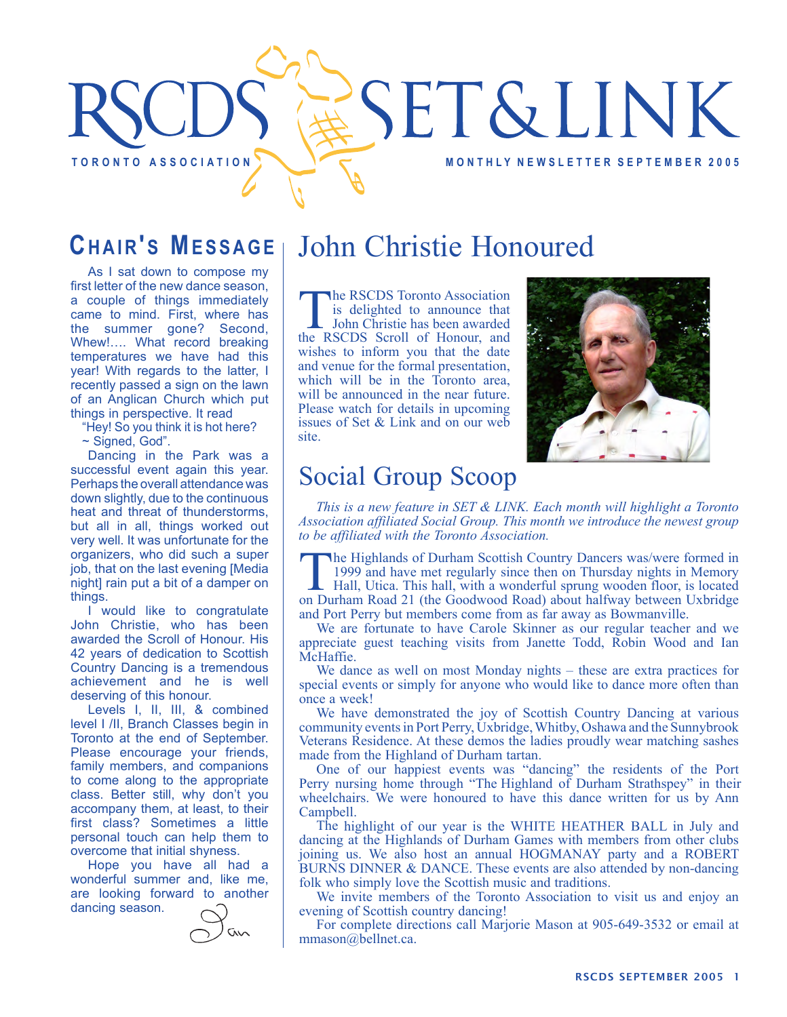# **SET&LINK** T OR ON TO A SSOCIATION A REAL OF THE MONTHLY NEWSLETTER SEPTEMBER 2005

# **CHAIR'S MESSAGE**

As I sat down to compose my first letter of the new dance season, a couple of things immediately came to mind. First, where has the summer gone? Second, Whew!…. What record breaking temperatures we have had this year! With regards to the latter, I recently passed a sign on the lawn of an Anglican Church which put things in perspective. It read

"Hey! So you think it is hot here?

~ Signed, God".

Dancing in the Park was a successful event again this year. Perhaps the overall attendance was down slightly, due to the continuous heat and threat of thunderstorms, but all in all, things worked out very well. It was unfortunate for the organizers, who did such a super job, that on the last evening [Media night] rain put a bit of a damper on things.

I would like to congratulate John Christie, who has been awarded the Scroll of Honour. His 42 years of dedication to Scottish Country Dancing is a tremendous achievement and he is well deserving of this honour.

Levels I, II, III, & combined level I /II, Branch Classes begin in Toronto at the end of September. Please encourage your friends, family members, and companions to come along to the appropriate class. Better still, why don't you accompany them, at least, to their first class? Sometimes a little personal touch can help them to overcome that initial shyness.

Hope you have all had a wonderful summer and, like me, are looking forward to another dancing season.



# John Christie Honoured

The RSCDS Toronto Association<br>
is delighted to announce that<br>
John Christie has been awarded<br>
the RSCDS Scroll of Honour and is delighted to announce that the RSCDS Scroll of Honour, and wishes to inform you that the date and venue for the formal presentation, which will be in the Toronto area. will be announced in the near future. Please watch for details in upcoming issues of Set  $& Link and on our web$ site.



# Social Group Scoop

*This is a new feature in SET & LINK. Each month will highlight a Toronto Association affiliated Social Group. This month we introduce the newest group to be affiliated with the Toronto Association.*

The Highlands of Durham Scottish Country Dancers was/were formed in 1999 and have met regularly since then on Thursday nights in Memory

Hall, Utica. This hall, with a wonderful sprung wooden floor, is located on Durham Road 21 (the Goodwood Road) about halfway between Uxbridge and Port Perry but members come from as far away as Bowmanville.

We are fortunate to have Carole Skinner as our regular teacher and we appreciate guest teaching visits from Janette Todd, Robin Wood and Ian McHaffie.

We dance as well on most Monday nights – these are extra practices for special events or simply for anyone who would like to dance more often than once a week!

We have demonstrated the joy of Scottish Country Dancing at various community events in Port Perry, Uxbridge, Whitby, Oshawa and the Sunnybrook Veterans Residence. At these demos the ladies proudly wear matching sashes made from the Highland of Durham tartan.

One of our happiest events was "dancing" the residents of the Port Perry nursing home through "The Highland of Durham Strathspey" in their wheelchairs. We were honoured to have this dance written for us by Ann Campbell.

The highlight of our year is the WHITE HEATHER BALL in July and dancing at the Highlands of Durham Games with members from other clubs joining us. We also host an annual HOGMANAY party and a ROBERT BURNS DINNER & DANCE. These events are also attended by non-dancing folk who simply love the Scottish music and traditions.

We invite members of the Toronto Association to visit us and enjoy an evening of Scottish country dancing!

For complete directions call Marjorie Mason at 905-649-3532 or email at mmason@bellnet.ca.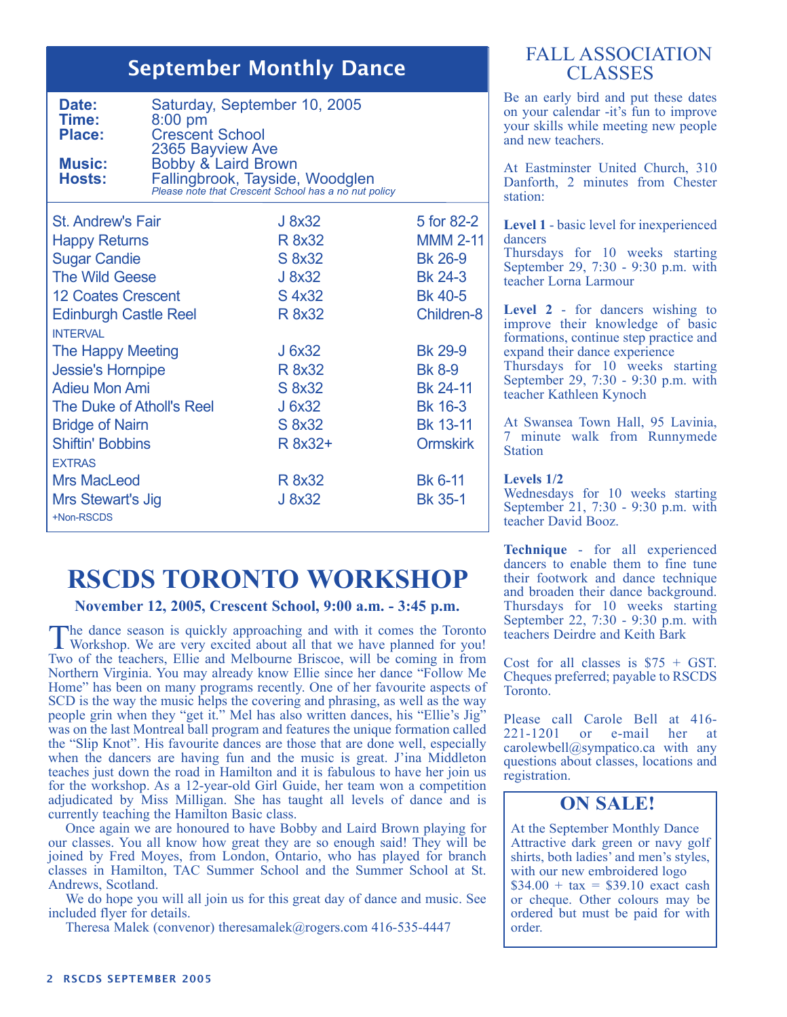## September Monthly Dance

| Saturday, September 10, 2005<br>$8:00$ pm<br><b>Crescent School</b><br>2365 Bayview Ave<br>Bobby & Laird Brown<br>Fallingbrook, Tayside, Woodglen<br>Please note that Crescent School has a no nut policy |                   |            |  |
|-----------------------------------------------------------------------------------------------------------------------------------------------------------------------------------------------------------|-------------------|------------|--|
| <b>St. Andrew's Fair</b>                                                                                                                                                                                  | J 8x32            | 5 for 82-2 |  |
|                                                                                                                                                                                                           | المستناط المستناط | ല പാറ      |  |

| <b>Happy Returns</b>         | R 8x32  | <b>MMM 2-11</b>   |
|------------------------------|---------|-------------------|
| <b>Sugar Candie</b>          | S 8x32  | <b>Bk 26-9</b>    |
| <b>The Wild Geese</b>        | J 8x32  | <b>Bk 24-3</b>    |
| <b>12 Coates Crescent</b>    | S 4x32  | <b>Bk 40-5</b>    |
| <b>Edinburgh Castle Reel</b> | R 8x32  | <b>Children-8</b> |
| <b>INTERVAL</b>              |         |                   |
| The Happy Meeting            | J 6x32  | <b>Bk 29-9</b>    |
| <b>Jessie's Hornpipe</b>     | R 8x32  | <b>Bk 8-9</b>     |
| <b>Adieu Mon Ami</b>         | S 8x32  | Bk 24-11          |
| The Duke of Atholl's Reel    | J 6x32  | <b>Bk 16-3</b>    |
| <b>Bridge of Nairn</b>       | S 8x32  | <b>Bk 13-11</b>   |
| <b>Shiftin' Bobbins</b>      | R 8x32+ | <b>Ormskirk</b>   |
| <b>EXTRAS</b>                |         |                   |
| <b>Mrs MacLeod</b>           | R 8x32  | Bk 6-11           |
| Mrs Stewart's Jig            | J 8x32  | <b>Bk 35-1</b>    |
| +Non-RSCDS                   |         |                   |

# **RSCDS TORONTO WORKSHOP**

**November 12, 2005, Crescent School, 9:00 a.m. - 3:45 p.m.**

The dance season is quickly approaching and with it comes the Toronto Workshop. We are very excited about all that we have planned for you! Two of the teachers, Ellie and Melbourne Briscoe, will be coming in from Northern Virginia. You may already know Ellie since her dance "Follow Me Home" has been on many programs recently. One of her favourite aspects of SCD is the way the music helps the covering and phrasing, as well as the way people grin when they "get it." Mel has also written dances, his "Ellie's Jig" was on the last Montreal ball program and features the unique formation called the "Slip Knot". His favourite dances are those that are done well, especially when the dancers are having fun and the music is great. J'ina Middleton teaches just down the road in Hamilton and it is fabulous to have her join us for the workshop. As a 12-year-old Girl Guide, her team won a competition adjudicated by Miss Milligan. She has taught all levels of dance and is currently teaching the Hamilton Basic class.

Once again we are honoured to have Bobby and Laird Brown playing for our classes. You all know how great they are so enough said! They will be joined by Fred Moyes, from London, Ontario, who has played for branch classes in Hamilton, TAC Summer School and the Summer School at St. Andrews, Scotland.

We do hope you will all join us for this great day of dance and music. See included flyer for details.

Theresa Malek (convenor) theresamalek@rogers.com 416-535-4447

#### FALL ASSOCIATION **CLASSES**

Be an early bird and put these dates on your calendar -it's fun to improve your skills while meeting new people and new teachers.

At Eastminster United Church, 310 Danforth, 2 minutes from Chester station:

**Level 1** - basic level for inexperienced dancers

Thursdays for 10 weeks starting September 29, 7:30 - 9:30 p.m. with teacher Lorna Larmour

**Level 2** - for dancers wishing to improve their knowledge of basic formations, continue step practice and expand their dance experience Thursdays for 10 weeks starting

September 29, 7:30 - 9:30 p.m. with teacher Kathleen Kynoch

At Swansea Town Hall, 95 Lavinia, 7 minute walk from Runnymede Station

#### **Levels 1/2**

Wednesdays for 10 weeks starting September 21, 7:30 - 9:30 p.m. with teacher David Booz.

**Technique** - for all experienced dancers to enable them to fine tune their footwork and dance technique and broaden their dance background. Thursdays for 10 weeks starting September 22, 7:30 - 9:30 p.m. with teachers Deirdre and Keith Bark

Cost for all classes is  $$75 + GST$ . Cheques preferred; payable to RSCDS Toronto.

Please call Carole Bell at 416-<br>221-1201 or e-mail her at 221-1201 or e-mail her at carolewbell@sympatico.ca with any questions about classes, locations and registration.

#### **ON SALE!**

At the September Monthly Dance Attractive dark green or navy golf shirts, both ladies' and men's styles, with our new embroidered logo  $$34.00 + tax = $39.10$  exact cash or cheque. Other colours may be ordered but must be paid for with order.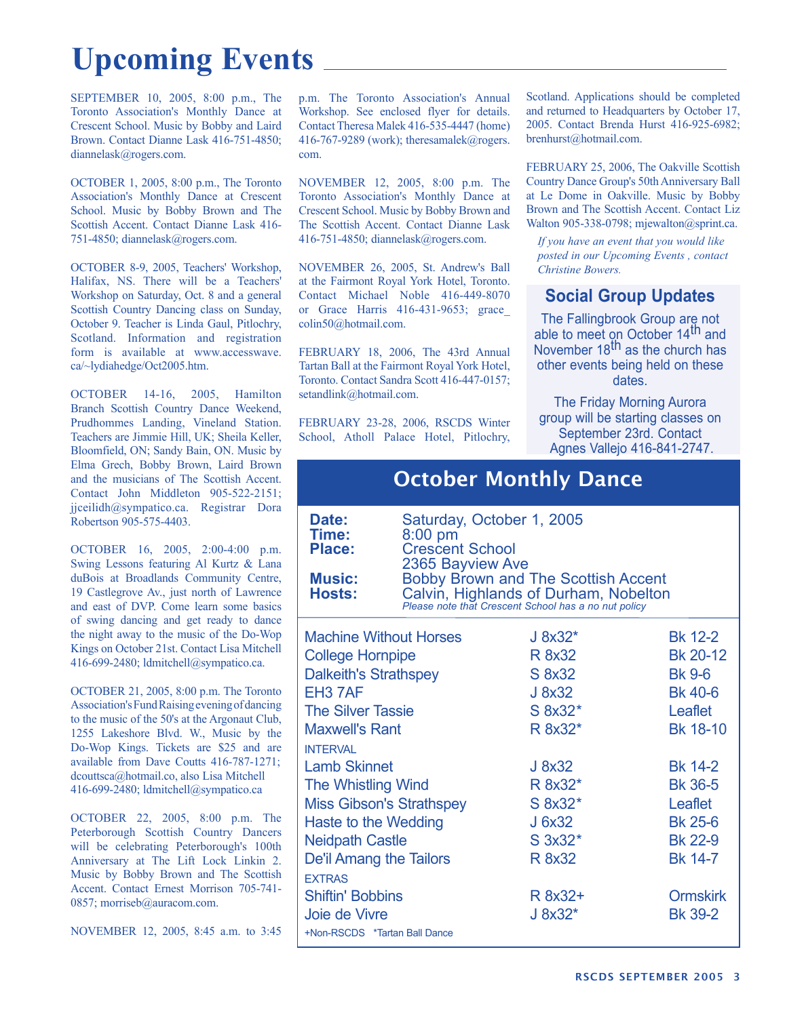# **Upcoming Events**

SEPTEMBER 10, 2005, 8:00 p.m., The Toronto Association's Monthly Dance at Crescent School. Music by Bobby and Laird Brown. Contact Dianne Lask 416-751-4850; diannelask@rogers.com.

OCTOBER 1, 2005, 8:00 p.m., The Toronto Association's Monthly Dance at Crescent School. Music by Bobby Brown and The Scottish Accent. Contact Dianne Lask 416- 751-4850; diannelask@rogers.com.

OCTOBER 8-9, 2005, Teachers' Workshop, Halifax, NS. There will be a Teachers' Workshop on Saturday, Oct. 8 and a general Scottish Country Dancing class on Sunday, October 9. Teacher is Linda Gaul, Pitlochry, Scotland. Information and registration form is available at www.accesswave. ca/~lydiahedge/Oct2005.htm.

OCTOBER 14-16, 2005, Hamilton Branch Scottish Country Dance Weekend, Prudhommes Landing, Vineland Station. Teachers are Jimmie Hill, UK; Sheila Keller, Bloomfield, ON; Sandy Bain, ON. Music by Elma Grech, Bobby Brown, Laird Brown and the musicians of The Scottish Accent. Contact John Middleton 905-522-2151; jjceilidh@sympatico.ca. Registrar Dora Robertson 905-575-4403.

OCTOBER 16, 2005, 2:00-4:00 p.m. Swing Lessons featuring Al Kurtz & Lana duBois at Broadlands Community Centre, 19 Castlegrove Av., just north of Lawrence and east of DVP. Come learn some basics of swing dancing and get ready to dance the night away to the music of the Do-Wop Kings on October 21st. Contact Lisa Mitchell 416-699-2480; ldmitchell@sympatico.ca.

OCTOBER 21, 2005, 8:00 p.m. The Toronto Association's Fund Raising evening of dancing to the music of the 50's at the Argonaut Club, 1255 Lakeshore Blvd. W., Music by the Do-Wop Kings. Tickets are \$25 and are available from Dave Coutts 416-787-1271; dcouttsca@hotmail.co, also Lisa Mitchell 416-699-2480; ldmitchell@sympatico.ca

OCTOBER 22, 2005, 8:00 p.m. The Peterborough Scottish Country Dancers will be celebrating Peterborough's 100th Anniversary at The Lift Lock Linkin 2. Music by Bobby Brown and The Scottish Accent. Contact Ernest Morrison 705-741- 0857; morriseb@auracom.com.

NOVEMBER 12, 2005, 8:45 a.m. to 3:45

p.m. The Toronto Association's Annual Workshop. See enclosed flyer for details. Contact Theresa Malek 416-535-4447 (home) 416-767-9289 (work); theresamalek@rogers. com.

NOVEMBER 12, 2005, 8:00 p.m. The Toronto Association's Monthly Dance at Crescent School. Music by Bobby Brown and The Scottish Accent. Contact Dianne Lask 416-751-4850; diannelask@rogers.com.

NOVEMBER 26, 2005, St. Andrew's Ball at the Fairmont Royal York Hotel, Toronto. Contact Michael Noble 416-449-8070 or Grace Harris 416-431-9653; grace\_ colin50@hotmail.com.

FEBRUARY 18, 2006, The 43rd Annual Tartan Ball at the Fairmont Royal York Hotel, Toronto. Contact Sandra Scott 416-447-0157; setandlink@hotmail.com.

FEBRUARY 23-28, 2006, RSCDS Winter School, Atholl Palace Hotel, Pitlochry,

Scotland. Applications should be completed and returned to Headquarters by October 17, 2005. Contact Brenda Hurst 416-925-6982; brenhurst@hotmail.com.

FEBRUARY 25, 2006, The Oakville Scottish Country Dance Group's 50th Anniversary Ball at Le Dome in Oakville. Music by Bobby Brown and The Scottish Accent. Contact Liz Walton 905-338-0798; mjewalton@sprint.ca.

*If you have an event that you would like posted in our Upcoming Events , contact Christine Bowers.*

### **Social Group Updates**

The Fallingbrook Group are not able to meet on October 14<sup>th</sup> and November 18<sup>th</sup> as the church has other events being held on these dates.

The Friday Morning Aurora group will be starting classes on September 23rd. Contact Agnes Vallejo 416-841-2747.

| <b>October Monthly Dance</b>                     |                                                                                                                                      |              |                 |  |  |
|--------------------------------------------------|--------------------------------------------------------------------------------------------------------------------------------------|--------------|-----------------|--|--|
| Date:<br>Time:<br><b>Place:</b><br><b>Music:</b> | Saturday, October 1, 2005<br>$8:00$ pm<br><b>Crescent School</b><br>2365 Bayview Ave                                                 |              |                 |  |  |
| Hosts:                                           | Bobby Brown and The Scottish Accent<br>Calvin, Highlands of Durham, Nobelton<br>Please note that Crescent School has a no nut policy |              |                 |  |  |
|                                                  | <b>Machine Without Horses</b>                                                                                                        | $J 8x32*$    | <b>Bk 12-2</b>  |  |  |
| <b>College Hornpipe</b>                          |                                                                                                                                      | R 8x32       | Bk 20-12        |  |  |
| <b>Dalkeith's Strathspey</b>                     |                                                                                                                                      | S 8x32       | <b>Bk 9-6</b>   |  |  |
| EH <sub>3</sub> 7AF                              |                                                                                                                                      | J 8x32       | <b>Bk 40-6</b>  |  |  |
| <b>The Silver Tassie</b>                         |                                                                                                                                      | S 8x32*      | Leaflet         |  |  |
| <b>Maxwell's Rant</b>                            |                                                                                                                                      | R 8x32*      | Bk 18-10        |  |  |
| <b>INTFRVAL</b>                                  |                                                                                                                                      |              |                 |  |  |
| <b>Lamb Skinnet</b>                              |                                                                                                                                      | J 8x32       | <b>Bk 14-2</b>  |  |  |
| <b>The Whistling Wind</b>                        |                                                                                                                                      | R 8x32*      | <b>Bk 36-5</b>  |  |  |
| <b>Miss Gibson's Strathspey</b>                  |                                                                                                                                      | S 8x32*      | <b>Leaflet</b>  |  |  |
| Haste to the Wedding                             |                                                                                                                                      | J 6x32       | <b>Bk 25-6</b>  |  |  |
| <b>Neidpath Castle</b>                           |                                                                                                                                      | $S$ 3x32 $*$ | <b>Bk 22-9</b>  |  |  |
| De'il Amang the Tailors                          |                                                                                                                                      | R 8x32       | <b>Bk 14-7</b>  |  |  |
| <b>FXTRAS</b>                                    |                                                                                                                                      |              |                 |  |  |
| <b>Shiftin' Bobbins</b>                          |                                                                                                                                      | R 8x32+      | <b>Ormskirk</b> |  |  |
| Joie de Vivre                                    |                                                                                                                                      | $J 8x32*$    | <b>Bk 39-2</b>  |  |  |
| +Non-RSCDS *Tartan Ball Dance                    |                                                                                                                                      |              |                 |  |  |